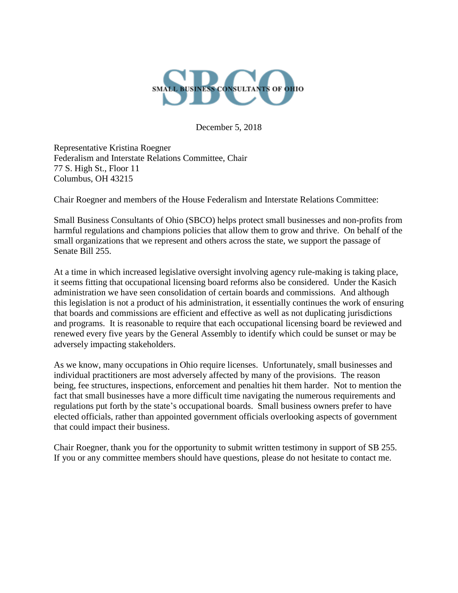

December 5, 2018

Representative Kristina Roegner Federalism and Interstate Relations Committee, Chair 77 S. High St., Floor 11 Columbus, OH 43215

Chair Roegner and members of the House Federalism and Interstate Relations Committee:

Small Business Consultants of Ohio (SBCO) helps protect small businesses and non-profits from harmful regulations and champions policies that allow them to grow and thrive. On behalf of the small organizations that we represent and others across the state, we support the passage of Senate Bill 255.

At a time in which increased legislative oversight involving agency rule-making is taking place, it seems fitting that occupational licensing board reforms also be considered. Under the Kasich administration we have seen consolidation of certain boards and commissions. And although this legislation is not a product of his administration, it essentially continues the work of ensuring that boards and commissions are efficient and effective as well as not duplicating jurisdictions and programs. It is reasonable to require that each occupational licensing board be reviewed and renewed every five years by the General Assembly to identify which could be sunset or may be adversely impacting stakeholders.

As we know, many occupations in Ohio require licenses. Unfortunately, small businesses and individual practitioners are most adversely affected by many of the provisions. The reason being, fee structures, inspections, enforcement and penalties hit them harder. Not to mention the fact that small businesses have a more difficult time navigating the numerous requirements and regulations put forth by the state's occupational boards. Small business owners prefer to have elected officials, rather than appointed government officials overlooking aspects of government that could impact their business.

Chair Roegner, thank you for the opportunity to submit written testimony in support of SB 255. If you or any committee members should have questions, please do not hesitate to contact me.